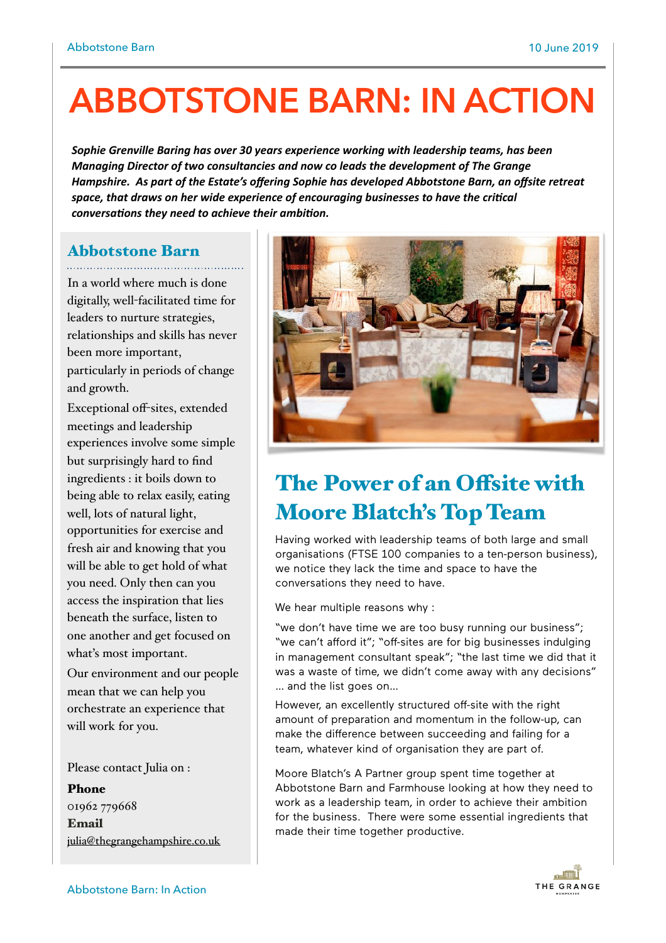# **ABBOTSTONE BARN: IN ACTION**

Sophie Grenville Baring has over 30 years experience working with leadership teams, has been *Managing Director of two consultancies and now co leads the development of The Grange* Hampshire. As part of the Estate's offering Sophie has developed Abbotstone Barn, an offsite retreat space, that draws on her wide experience of encouraging businesses to have the critical *conversations they need to achieve their ambition.* 

### Abbotstone Barn

In a world where much is done digitally, well-facilitated time for leaders to nurture strategies, relationships and skills has never been more important, particularly in periods of change and growth.

Exceptional off-sites, extended meetings and leadership experiences involve some simple but surprisingly hard to find ingredients : it boils down to being able to relax easily, eating well, lots of natural light, opportunities for exercise and fresh air and knowing that you will be able to get hold of what you need. Only then can you access the inspiration that lies beneath the surface, listen to one another and get focused on what's most important.

Our environment and our people mean that we can help you orchestrate an experience that will work for you.

Please contact Julia on :

Phone 01962 779668 Email [julia@thegrangehampshire.co.uk](mailto:estate@thegrangehampshire.co.uk)



## The Power of an Offsite with Moore Blatch's Top Team

Having worked with leadership teams of both large and small organisations (FTSE 100 companies to a ten-person business), we notice they lack the time and space to have the conversations they need to have.

We hear multiple reasons why :

"we don't have time we are too busy running our business"; "we can't afford it"; "off-sites are for big businesses indulging in management consultant speak"; "the last time we did that it was a waste of time, we didn't come away with any decisions" … and the list goes on…

However, an excellently structured off-site with the right amount of preparation and momentum in the follow-up, can make the difference between succeeding and failing for a team, whatever kind of organisation they are part of.

Moore Blatch's A Partner group spent time together at Abbotstone Barn and Farmhouse looking at how they need to work as a leadership team, in order to achieve their ambition for the business. There were some essential ingredients that made their time together productive.

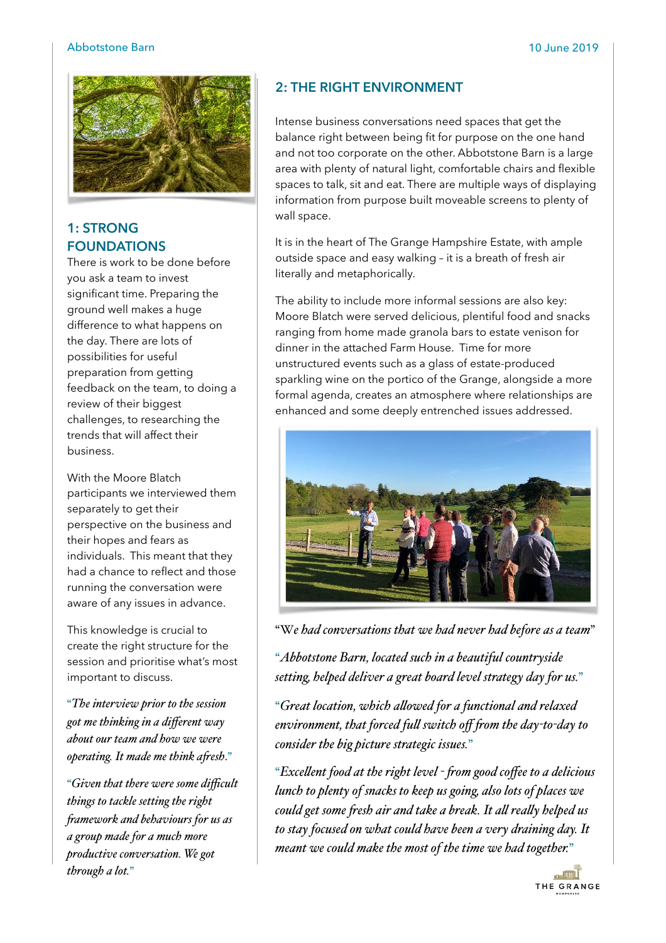#### Abbotstone Barn 10 June 2019



#### **1: STRONG FOUNDATIONS**

There is work to be done before you ask a team to invest significant time. Preparing the ground well makes a huge difference to what happens on the day. There are lots of possibilities for useful preparation from getting feedback on the team, to doing a review of their biggest challenges, to researching the trends that will affect their business.

With the Moore Blatch participants we interviewed them separately to get their perspective on the business and their hopes and fears as individuals. This meant that they had a chance to reflect and those running the conversation were aware of any issues in advance.

This knowledge is crucial to create the right structure for the session and prioritise what's most important to discuss.

"*The interview prior to the session got me thinking in a different way about our team and how we were operating. It made me think afesh*."

"*Given that there were some difficult things to tackle setting the right famework and behaviours for us as a group made for a much more productive conversation. We got through a lot.*"

#### **2: THE RIGHT ENVIRONMENT**

Intense business conversations need spaces that get the balance right between being fit for purpose on the one hand and not too corporate on the other. Abbotstone Barn is a large area with plenty of natural light, comfortable chairs and flexible spaces to talk, sit and eat. There are multiple ways of displaying information from purpose built moveable screens to plenty of wall space.

It is in the heart of The Grange Hampshire Estate, with ample outside space and easy walking – it is a breath of fresh air literally and metaphorically.

The ability to include more informal sessions are also key: Moore Blatch were served delicious, plentiful food and snacks ranging from home made granola bars to estate venison for dinner in the attached Farm House. Time for more unstructured events such as a glass of estate-produced sparkling wine on the portico of the Grange, alongside a more formal agenda, creates an atmosphere where relationships are enhanced and some deeply entrenched issues addressed.



"W*e had conversations that we had never had before as a team*"

"*Abbotstone Barn, located such in a beautiful countryside setting, helped deliver a great board level strategy day for us.*"

"*Great location, which alowed for a functional and relaxed environment, that forced ful switch off fom the day-to-day to consider the big picture strategic issues.*"

"*Excelent food at the right level - fom good coffee to a delicious lunch to plenty of snacks to keep us going, also lots of places we could get some fesh air and take a break. It al realy helped us to stay focused on what could have been a very draining day. It meant we could make the most of the time we had together.*"